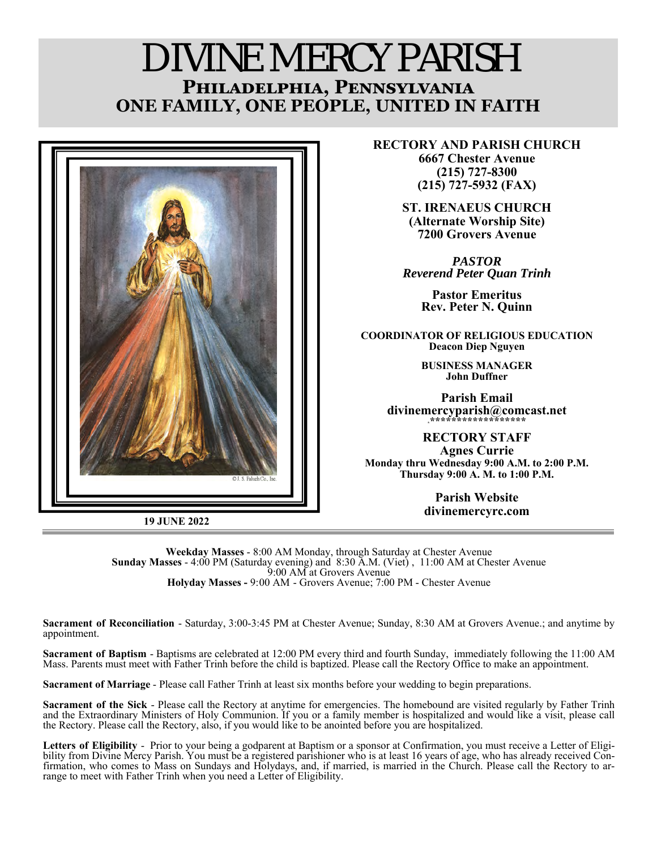# DIVINE MERCY PARISH **PHILADELPHIA, PENNSYLVANIA ONE FAMILY, ONE PEOPLE, UNITED IN FAITH**



**19 JUNE 2022** 

**RECTORY AND PARISH CHURCH 6667 Chester Avenue (215) 727-8300 (215) 727-5932 (FAX)** 

> **ST. IRENAEUS CHURCH (Alternate Worship Site) 7200 Grovers Avenue**

*PASTOR Reverend Peter Quan Trinh* 

> **Pastor Emeritus Rev. Peter N. Quinn**

**COORDINATOR OF RELIGIOUS EDUCATION Deacon Diep Nguyen** 

> **BUSINESS MANAGER John Duffner**

**Parish Email**  divinemercyparish@comcast.net

**RECTORY STAFF Agnes Currie Monday thru Wednesday 9:00 A.M. to 2:00 P.M. Thursday 9:00 A. M. to 1:00 P.M.** 

> **Parish Website divinemercyrc.com**

**Weekday Masses** - 8:00 AM Monday, through Saturday at Chester Avenue **Sunday Masses** - 4:00 PM (Saturday evening) and 8:30 A.M. (Viet) , 11:00 AM at Chester Avenue 9:00 AM at Grovers Avenue **Holyday Masses -** 9:00 AM - Grovers Avenue; 7:00 PM - Chester Avenue

**Sacrament of Reconciliation** - Saturday, 3:00-3:45 PM at Chester Avenue; Sunday, 8:30 AM at Grovers Avenue.; and anytime by appointment.

**Sacrament of Baptism** - Baptisms are celebrated at 12:00 PM every third and fourth Sunday, immediately following the 11:00 AM Mass. Parents must meet with Father Trinh before the child is baptized. Please call the Rectory Office to make an appointment.

**Sacrament of Marriage** - Please call Father Trinh at least six months before your wedding to begin preparations.

**Sacrament of the Sick** - Please call the Rectory at anytime for emergencies. The homebound are visited regularly by Father Trinh and the Extraordinary Ministers of Holy Communion. If you or a family member is hospitalized and would like a visit, please call the Rectory. Please call the Rectory, also, if you would like to be anointed before you are hospitalized.

**Letters of Eligibility** - Prior to your being a godparent at Baptism or a sponsor at Confirmation, you must receive a Letter of Eligibility from Divine Mercy Parish. You must be a registered parishioner who is at least 16 years of age, who has already received Confirmation, who comes to Mass on Sundays and Holydays, and, if married, is married in the Church. Please call the Rectory to ar- range to meet with Father Trinh when you need a Letter of Eligibility.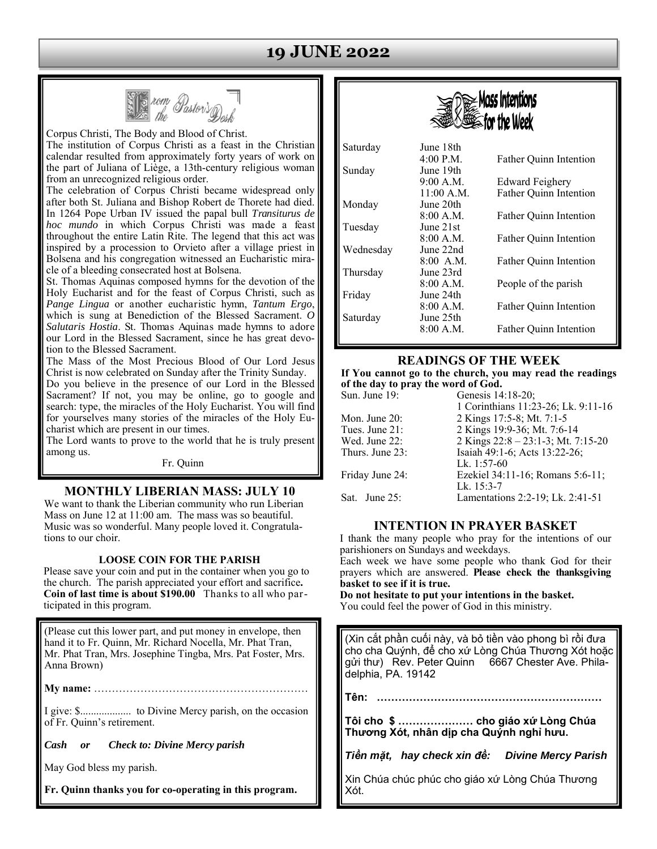# **19 JUNE 2022**



Corpus Christi, The Body and Blood of Christ. The institution of Corpus Christi as a feast in the Christian calendar resulted from approximately forty years of work on the part of Juliana of Liège, a 13th-century religious woman from an unrecognized religious order.

The celebration of Corpus Christi became widespread only after both St. Juliana and Bishop Robert de Thorete had died. In 1264 Pope Urban IV issued the papal bull *Transiturus de hoc mundo* in which Corpus Christi was made a feast throughout the entire Latin Rite. The legend that this act was inspired by a procession to Orvieto after a village priest in Bolsena and his congregation witnessed an Eucharistic miracle of a bleeding consecrated host at Bolsena.

St. Thomas Aquinas composed hymns for the devotion of the Holy Eucharist and for the feast of Corpus Christi, such as *Pange Lingua* or another eucharistic hymn, *Tantum Ergo*, which is sung at Benediction of the Blessed Sacrament. *O Salutaris Hostia*. St. Thomas Aquinas made hymns to adore our Lord in the Blessed Sacrament, since he has great devotion to the Blessed Sacrament.

The Mass of the Most Precious Blood of Our Lord Jesus Christ is now celebrated on Sunday after the Trinity Sunday.

Do you believe in the presence of our Lord in the Blessed Sacrament? If not, you may be online, go to google and search: type, the miracles of the Holy Eucharist. You will find for yourselves many stories of the miracles of the Holy Eucharist which are present in our times.

The Lord wants to prove to the world that he is truly present among us.

Fr. Quinn

#### **MONTHLY LIBERIAN MASS: JULY 10**

We want to thank the Liberian community who run Liberian Mass on June 12 at 11:00 am. The mass was so beautiful. Music was so wonderful. Many people loved it. Congratulations to our choir.

#### **LOOSE COIN FOR THE PARISH**

Please save your coin and put in the container when you go to the church. The parish appreciated your effort and sacrifice**. Coin of last time is about \$190.00** Thanks to all who participated in this program.

(Please cut this lower part, and put money in envelope, then hand it to Fr. Quinn, Mr. Richard Nocella, Mr. Phat Tran, Mr. Phat Tran, Mrs. Josephine Tingba, Mrs. Pat Foster, Mrs. Anna Brown)

**My name:** ……………………………………………………

I give: \$................... to Divine Mercy parish, on the occasion of Fr. Quinn's retirement.

*Cash or Check to: Divine Mercy parish* 

May God bless my parish.

**Fr. Quinn thanks you for co-operating in this program.**



| Saturday  | June 18th   |                               |
|-----------|-------------|-------------------------------|
|           | 4:00 P.M.   | Father Quinn Intention        |
| Sunday    | June 19th   |                               |
|           | 9:00 A.M.   | <b>Edward Feighery</b>        |
|           | 11:00 A.M.  | Father Quinn Intention        |
| Monday    | June 20th.  |                               |
|           | 8:00 A.M.   | <b>Father Ouinn Intention</b> |
| Tuesday   | June 21st   |                               |
|           | 8:00 A.M.   | <b>Father Ouinn Intention</b> |
| Wednesday | June 22nd   |                               |
|           | $8:00$ A.M. | Father Ouinn Intention        |
| Thursday  | June 23rd   |                               |
|           | 8:00 A.M.   | People of the parish          |
| Friday    | June 24th   |                               |
|           | 8:00 A.M.   | <b>Father Ouinn Intention</b> |
| Saturday  | June 25th   |                               |
|           | 8:00 A.M.   | <b>Father Ouinn Intention</b> |
|           |             |                               |

#### **READINGS OF THE WEEK**

**If You cannot go to the church, you may read the readings of the day to pray the word of God.**  Sun. June 19: Genesis 14:18-20;

|                 | 1 Corinthians 11:23-26; Lk. 9:11-16 |
|-----------------|-------------------------------------|
| Mon. June 20:   | 2 Kings 17:5-8; Mt. 7:1-5           |
| Tues. June 21:  | 2 Kings 19:9-36; Mt. 7:6-14         |
| Wed. June 22:   | 2 Kings 22:8 - 23:1-3; Mt. 7:15-20  |
| Thurs. June 23: | Isaiah 49:1-6; Acts 13:22-26;       |
|                 | Lk. 1:57-60                         |
| Friday June 24: | Ezekiel 34:11-16; Romans 5:6-11;    |
|                 | Lk. $15:3-7$                        |
| Sat. June 25:   | Lamentations 2:2-19; Lk. 2:41-51    |
|                 |                                     |

#### **INTENTION IN PRAYER BASKET**

I thank the many people who pray for the intentions of our parishioners on Sundays and weekdays.

Each week we have some people who thank God for their prayers which are answered. **Please check the thanksgiving basket to see if it is true.** 

**Do not hesitate to put your intentions in the basket.**  You could feel the power of God in this ministry.

(Xin cắt phần cuối này, và bỏ tiền vào phong bì rồi đưa cho cha Quýnh, để cho xứ Lòng Chúa Thương Xót hoặc gửi thư) Rev. Peter Quinn 6667 Chester Ave. Philadelphia, PA. 19142

**Tên: ………………………………………………………** 

**Tôi cho \$ ………………… cho giáo xứ Lòng Chúa Thương Xót, nhân dịp cha Quýnh nghỉ hưu.** 

*Tiền mặt, hay check xin đề: Divine Mercy Parish* 

Xin Chúa chúc phúc cho giáo xứ Lòng Chúa Thương Xót.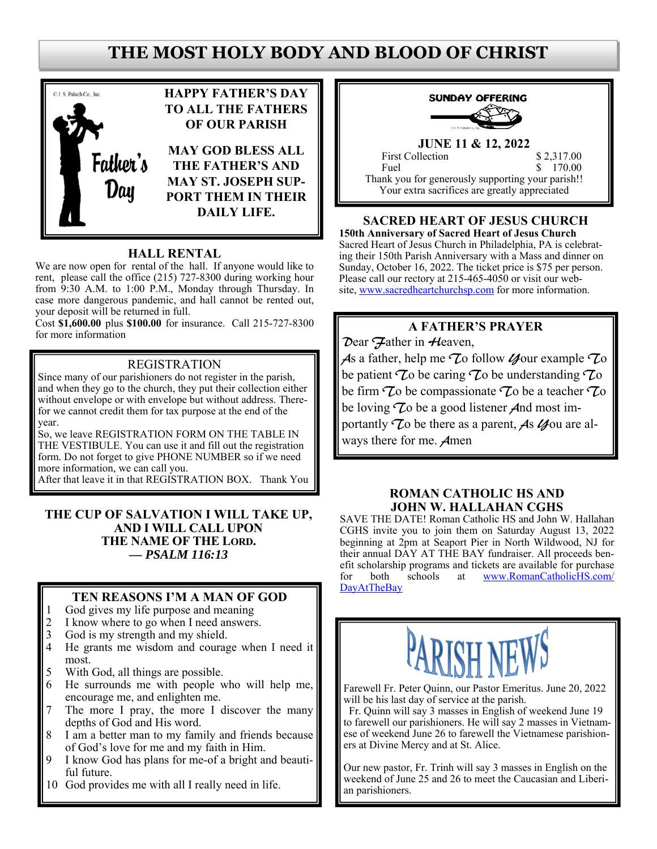# **THE MOST HOLY BODY AND BLOOD OF CHRIST**



### **HALL RENTAL**

We are now open for rental of the hall. If anyone would like to rent, please call the office (215) 727-8300 during working hour from 9:30 A.M. to 1:00 P.M., Monday through Thursday. In case more dangerous pandemic, and hall cannot be rented out, your deposit will be returned in full.

Cost **\$1,600.00** plus **\$100.00** for insurance. Call 215-727-8300 for more information

### REGISTRATION

Since many of our parishioners do not register in the parish, and when they go to the church, they put their collection either without envelope or with envelope but without address. Therefor we cannot credit them for tax purpose at the end of the year.

So, we leave REGISTRATION FORM ON THE TABLE IN THE VESTIBULE. You can use it and fill out the registration form. Do not forget to give PHONE NUMBER so if we need more information, we can call you.

After that leave it in that REGISTRATION BOX. Thank You

#### **THE CUP OF SALVATION I WILL TAKE UP, AND I WILL CALL UPON THE NAME OF THE LORD.** *— PSALM 116:13*

### **TEN REASONS I'M A MAN OF GOD**

- 1 God gives my life purpose and meaning<br>2 I know where to go when I need answers
- I know where to go when I need answers.
- 3 God is my strength and my shield.<br>4 He grants me wisdom and courage
- He grants me wisdom and courage when I need it most.
- 5 With God, all things are possible.
- 6 He surrounds me with people who will help me, encourage me, and enlighten me.
- 7 The more I pray, the more I discover the many depths of God and His word.
- 8 I am a better man to my family and friends because of God's love for me and my faith in Him.
- 9 I know God has plans for me-of a bright and beautiful future.
- 10 God provides me with all I really need in life.



# **JUNE 11 & 12, 2022**

First Collection \$ 2,317.00 Fuel \$ 170.00 Thank you for generously supporting your parish!! Your extra sacrifices are greatly appreciated

## **SACRED HEART OF JESUS CHURCH**

**150th Anniversary of Sacred Heart of Jesus Church** Sacred Heart of Jesus Church in Philadelphia, PA is celebrating their 150th Parish Anniversary with a Mass and dinner on Sunday, October 16, 2022. The ticket price is \$75 per person. Please call our rectory at 215-465-4050 or visit our website, www.sacredheartchurchsp.com for more information.

## **A FATHER'S PRAYER**

Dear Hather in Heaven,

As a father, help me  $\mathcal{I}$ o follow  $\mathcal{U}$ our example  $\mathcal{I}$ o be patient  $\tau$  be caring  $\tau$  be understanding  $\tau$  o be firm  $\tau$  be compassionate  $\tau$  be a teacher  $\tau$  o be loving  $\tau$  be a good listener *A*nd most importantly  $\mathcal{T}_0$  be there as a parent, As  $\mathcal{U}_0$  are always there for me. Amen

#### **ROMAN CATHOLIC HS AND JOHN W. HALLAHAN CGHS**

SAVE THE DATE! Roman Catholic HS and John W. Hallahan CGHS invite you to join them on Saturday August 13, 2022 beginning at 2pm at Seaport Pier in North Wildwood, NJ for their annual DAY AT THE BAY fundraiser. All proceeds benefit scholarship programs and tickets are available for purchase for both schools at www.RomanCatholicHS.com/ DayAtTheBay



Farewell Fr. Peter Quinn, our Pastor Emeritus. June 20, 2022 will be his last day of service at the parish.

 Fr. Quinn will say 3 masses in English of weekend June 19 to farewell our parishioners. He will say 2 masses in Vietnamese of weekend June 26 to farewell the Vietnamese parishioners at Divine Mercy and at St. Alice.

Our new pastor, Fr. Trinh will say 3 masses in English on the weekend of June 25 and 26 to meet the Caucasian and Liberian parishioners.